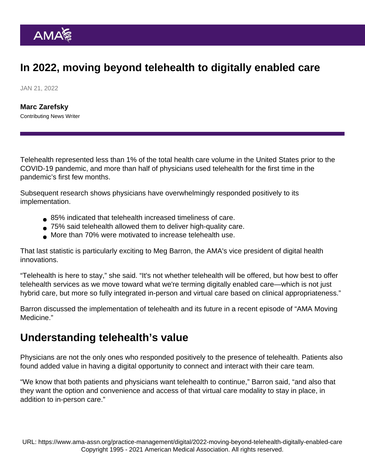## In 2022, moving beyond telehealth to digitally enabled care

JAN 21, 2022

[Marc Zarefsky](https://www.ama-assn.org/news-leadership-viewpoints/authors-news-leadership-viewpoints/marc-zarefsky) Contributing News Writer

Telehealth represented less than 1% of the total health care volume in the United States prior to the COVID-19 pandemic, and more than half of physicians used [telehealth](https://www.ama-assn.org/topics/telehealth) for the first time in the pandemic's first few months.

Subsequent research shows physicians have overwhelmingly responded positively to its implementation.

- 85% indicated that telehealth increased timeliness of care.
- 75% said telehealth allowed them to deliver high-quality care.
- More than 70% were motivated to increase telehealth use.

That last statistic is particularly exciting to Meg Barron, the AMA's vice president of digital health innovations.

"Telehealth is here to stay," she said. "It's not whether telehealth will be offered, but how best to offer telehealth services as we move toward what we're terming digitally enabled care—which is not just hybrid care, but more so fully integrated in-person and virtual care based on clinical appropriateness."

Barron discussed the implementation of telehealth and its future in a [recent episode](https://www.ama-assn.org/practice-management/digital/what-physicians-need-know-about-telehealth) of ["AMA Moving](https://www.ama-assn.org/series/moving-medicine-video-series) [Medicine](https://www.ama-assn.org/series/moving-medicine-video-series)."

## Understanding telehealth's value

Physicians are not the only ones who responded positively to the presence of telehealth. Patients also found added value in having a digital opportunity to connect and interact with their care team.

"We know that both patients and physicians want telehealth to continue," Barron said, "and also that they want the option and convenience and access of that virtual care modality to stay in place, in addition to in-person care."